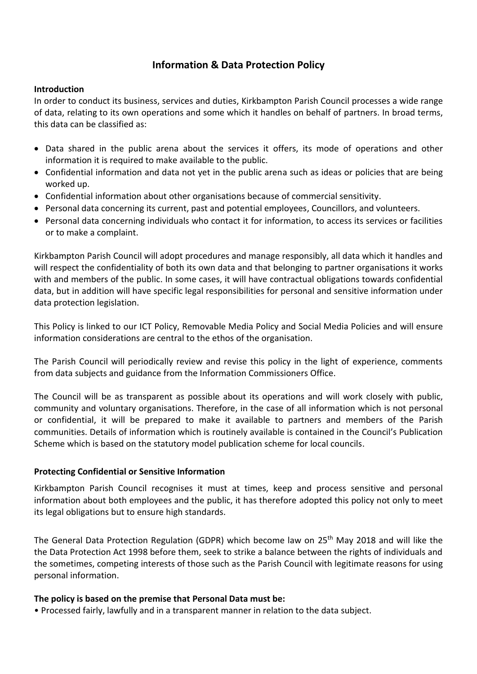# **Information & Data Protection Policy**

#### **Introduction**

In order to conduct its business, services and duties, Kirkbampton Parish Council processes a wide range of data, relating to its own operations and some which it handles on behalf of partners. In broad terms, this data can be classified as:

- Data shared in the public arena about the services it offers, its mode of operations and other information it is required to make available to the public.
- Confidential information and data not yet in the public arena such as ideas or policies that are being worked up.
- Confidential information about other organisations because of commercial sensitivity.
- Personal data concerning its current, past and potential employees, Councillors, and volunteers.
- Personal data concerning individuals who contact it for information, to access its services or facilities or to make a complaint.

Kirkbampton Parish Council will adopt procedures and manage responsibly, all data which it handles and will respect the confidentiality of both its own data and that belonging to partner organisations it works with and members of the public. In some cases, it will have contractual obligations towards confidential data, but in addition will have specific legal responsibilities for personal and sensitive information under data protection legislation.

This Policy is linked to our ICT Policy, Removable Media Policy and Social Media Policies and will ensure information considerations are central to the ethos of the organisation.

The Parish Council will periodically review and revise this policy in the light of experience, comments from data subjects and guidance from the Information Commissioners Office.

The Council will be as transparent as possible about its operations and will work closely with public, community and voluntary organisations. Therefore, in the case of all information which is not personal or confidential, it will be prepared to make it available to partners and members of the Parish communities. Details of information which is routinely available is contained in the Council's Publication Scheme which is based on the statutory model publication scheme for local councils.

#### **Protecting Confidential or Sensitive Information**

Kirkbampton Parish Council recognises it must at times, keep and process sensitive and personal information about both employees and the public, it has therefore adopted this policy not only to meet its legal obligations but to ensure high standards.

The General Data Protection Regulation (GDPR) which become law on 25<sup>th</sup> May 2018 and will like the the Data Protection Act 1998 before them, seek to strike a balance between the rights of individuals and the sometimes, competing interests of those such as the Parish Council with legitimate reasons for using personal information.

#### **The policy is based on the premise that Personal Data must be:**

• Processed fairly, lawfully and in a transparent manner in relation to the data subject.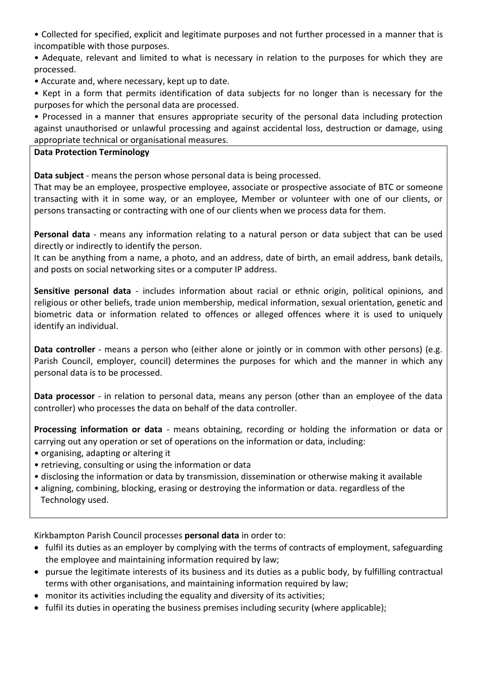• Collected for specified, explicit and legitimate purposes and not further processed in a manner that is incompatible with those purposes.

• Adequate, relevant and limited to what is necessary in relation to the purposes for which they are processed.

- Accurate and, where necessary, kept up to date.
- Kept in a form that permits identification of data subjects for no longer than is necessary for the purposes for which the personal data are processed.

• Processed in a manner that ensures appropriate security of the personal data including protection against unauthorised or unlawful processing and against accidental loss, destruction or damage, using appropriate technical or organisational measures.

## **Data Protection Terminology**

**Data subject** - means the person whose personal data is being processed.

That may be an employee, prospective employee, associate or prospective associate of BTC or someone transacting with it in some way, or an employee, Member or volunteer with one of our clients, or persons transacting or contracting with one of our clients when we process data for them.

**Personal data** - means any information relating to a natural person or data subject that can be used directly or indirectly to identify the person.

It can be anything from a name, a photo, and an address, date of birth, an email address, bank details, and posts on social networking sites or a computer IP address.

**Sensitive personal data** - includes information about racial or ethnic origin, political opinions, and religious or other beliefs, trade union membership, medical information, sexual orientation, genetic and biometric data or information related to offences or alleged offences where it is used to uniquely identify an individual.

**Data controller** - means a person who (either alone or jointly or in common with other persons) (e.g. Parish Council, employer, council) determines the purposes for which and the manner in which any personal data is to be processed.

**Data processor** - in relation to personal data, means any person (other than an employee of the data controller) who processes the data on behalf of the data controller.

**Processing information or data** - means obtaining, recording or holding the information or data or carrying out any operation or set of operations on the information or data, including:

- organising, adapting or altering it
- retrieving, consulting or using the information or data
- disclosing the information or data by transmission, dissemination or otherwise making it available
- aligning, combining, blocking, erasing or destroying the information or data. regardless of the Technology used.

Kirkbampton Parish Council processes **personal data** in order to:

- fulfil its duties as an employer by complying with the terms of contracts of employment, safeguarding the employee and maintaining information required by law;
- pursue the legitimate interests of its business and its duties as a public body, by fulfilling contractual terms with other organisations, and maintaining information required by law;
- monitor its activities including the equality and diversity of its activities;
- fulfil its duties in operating the business premises including security (where applicable);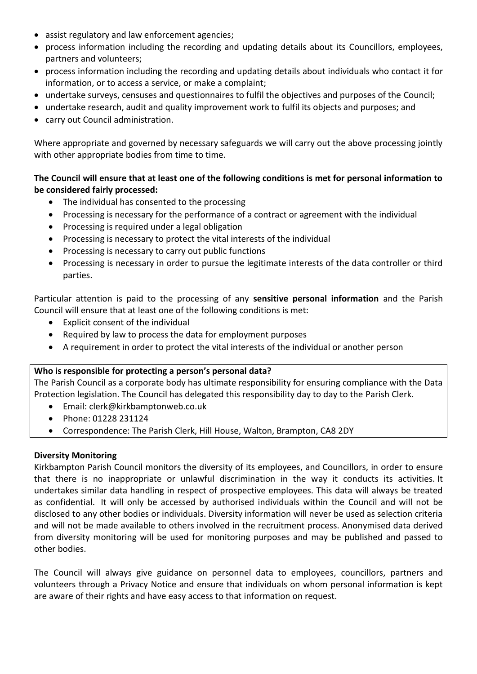- assist regulatory and law enforcement agencies;
- process information including the recording and updating details about its Councillors, employees, partners and volunteers;
- process information including the recording and updating details about individuals who contact it for information, or to access a service, or make a complaint;
- undertake surveys, censuses and questionnaires to fulfil the objectives and purposes of the Council;
- undertake research, audit and quality improvement work to fulfil its objects and purposes; and
- carry out Council administration.

Where appropriate and governed by necessary safeguards we will carry out the above processing jointly with other appropriate bodies from time to time.

# **The Council will ensure that at least one of the following conditions is met for personal information to be considered fairly processed:**

- The individual has consented to the processing
- Processing is necessary for the performance of a contract or agreement with the individual
- Processing is required under a legal obligation
- Processing is necessary to protect the vital interests of the individual
- Processing is necessary to carry out public functions
- Processing is necessary in order to pursue the legitimate interests of the data controller or third parties.

Particular attention is paid to the processing of any **sensitive personal information** and the Parish Council will ensure that at least one of the following conditions is met:

- Explicit consent of the individual
- Required by law to process the data for employment purposes
- A requirement in order to protect the vital interests of the individual or another person

## **Who is responsible for protecting a person's personal data?**

The Parish Council as a corporate body has ultimate responsibility for ensuring compliance with the Data Protection legislation. The Council has delegated this responsibility day to day to the Parish Clerk.

- Email: clerk@kirkbamptonweb.co.uk
- Phone: 01228 231124
- Correspondence: The Parish Clerk, Hill House, Walton, Brampton, CA8 2DY

## **Diversity Monitoring**

Kirkbampton Parish Council monitors the diversity of its employees, and Councillors, in order to ensure that there is no inappropriate or unlawful discrimination in the way it conducts its activities. It undertakes similar data handling in respect of prospective employees. This data will always be treated as confidential. It will only be accessed by authorised individuals within the Council and will not be disclosed to any other bodies or individuals. Diversity information will never be used as selection criteria and will not be made available to others involved in the recruitment process. Anonymised data derived from diversity monitoring will be used for monitoring purposes and may be published and passed to other bodies.

The Council will always give guidance on personnel data to employees, councillors, partners and volunteers through a Privacy Notice and ensure that individuals on whom personal information is kept are aware of their rights and have easy access to that information on request.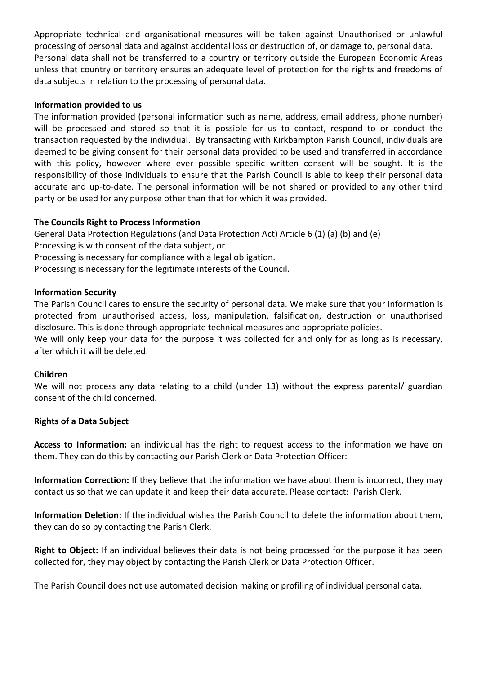Appropriate technical and organisational measures will be taken against Unauthorised or unlawful processing of personal data and against accidental loss or destruction of, or damage to, personal data. Personal data shall not be transferred to a country or territory outside the European Economic Areas unless that country or territory ensures an adequate level of protection for the rights and freedoms of data subjects in relation to the processing of personal data.

#### **Information provided to us**

The information provided (personal information such as name, address, email address, phone number) will be processed and stored so that it is possible for us to contact, respond to or conduct the transaction requested by the individual. By transacting with Kirkbampton Parish Council, individuals are deemed to be giving consent for their personal data provided to be used and transferred in accordance with this policy, however where ever possible specific written consent will be sought. It is the responsibility of those individuals to ensure that the Parish Council is able to keep their personal data accurate and up-to-date. The personal information will be not shared or provided to any other third party or be used for any purpose other than that for which it was provided.

#### **The Councils Right to Process Information**

General Data Protection Regulations (and Data Protection Act) Article 6 (1) (a) (b) and (e) Processing is with consent of the data subject, or Processing is necessary for compliance with a legal obligation. Processing is necessary for the legitimate interests of the Council.

#### **Information Security**

The Parish Council cares to ensure the security of personal data. We make sure that your information is protected from unauthorised access, loss, manipulation, falsification, destruction or unauthorised disclosure. This is done through appropriate technical measures and appropriate policies.

We will only keep your data for the purpose it was collected for and only for as long as is necessary, after which it will be deleted.

#### **Children**

We will not process any data relating to a child (under 13) without the express parental/ guardian consent of the child concerned.

#### **Rights of a Data Subject**

**Access to Information:** an individual has the right to request access to the information we have on them. They can do this by contacting our Parish Clerk or Data Protection Officer:

**Information Correction:** If they believe that the information we have about them is incorrect, they may contact us so that we can update it and keep their data accurate. Please contact: Parish Clerk.

**Information Deletion:** If the individual wishes the Parish Council to delete the information about them, they can do so by contacting the Parish Clerk.

**Right to Object:** If an individual believes their data is not being processed for the purpose it has been collected for, they may object by contacting the Parish Clerk or Data Protection Officer.

The Parish Council does not use automated decision making or profiling of individual personal data.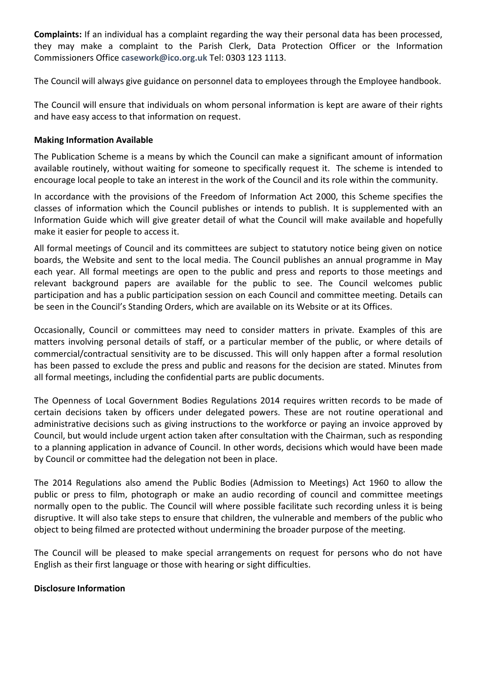**Complaints:** If an individual has a complaint regarding the way their personal data has been processed, they may make a complaint to the Parish Clerk, Data Protection Officer or the Information Commissioners Office **[casework@ico.org.uk](mailto:casework@ico.org.uk)** Tel: 0303 123 1113.

The Council will always give guidance on personnel data to employees through the Employee handbook.

The Council will ensure that individuals on whom personal information is kept are aware of their rights and have easy access to that information on request.

#### **Making Information Available**

The Publication Scheme is a means by which the Council can make a significant amount of information available routinely, without waiting for someone to specifically request it. The scheme is intended to encourage local people to take an interest in the work of the Council and its role within the community.

In accordance with the provisions of the Freedom of Information Act 2000, this Scheme specifies the classes of information which the Council publishes or intends to publish. It is supplemented with an Information Guide which will give greater detail of what the Council will make available and hopefully make it easier for people to access it.

All formal meetings of Council and its committees are subject to statutory notice being given on notice boards, the Website and sent to the local media. The Council publishes an annual programme in May each year. All formal meetings are open to the public and press and reports to those meetings and relevant background papers are available for the public to see. The Council welcomes public participation and has a public participation session on each Council and committee meeting. Details can be seen in the Council's Standing Orders, which are available on its Website or at its Offices.

Occasionally, Council or committees may need to consider matters in private. Examples of this are matters involving personal details of staff, or a particular member of the public, or where details of commercial/contractual sensitivity are to be discussed. This will only happen after a formal resolution has been passed to exclude the press and public and reasons for the decision are stated. Minutes from all formal meetings, including the confidential parts are public documents.

The Openness of Local Government Bodies Regulations 2014 requires written records to be made of certain decisions taken by officers under delegated powers. These are not routine operational and administrative decisions such as giving instructions to the workforce or paying an invoice approved by Council, but would include urgent action taken after consultation with the Chairman, such as responding to a planning application in advance of Council. In other words, decisions which would have been made by Council or committee had the delegation not been in place.

The 2014 Regulations also amend the Public Bodies (Admission to Meetings) Act 1960 to allow the public or press to film, photograph or make an audio recording of council and committee meetings normally open to the public. The Council will where possible facilitate such recording unless it is being disruptive. It will also take steps to ensure that children, the vulnerable and members of the public who object to being filmed are protected without undermining the broader purpose of the meeting.

The Council will be pleased to make special arrangements on request for persons who do not have English as their first language or those with hearing or sight difficulties.

#### **Disclosure Information**